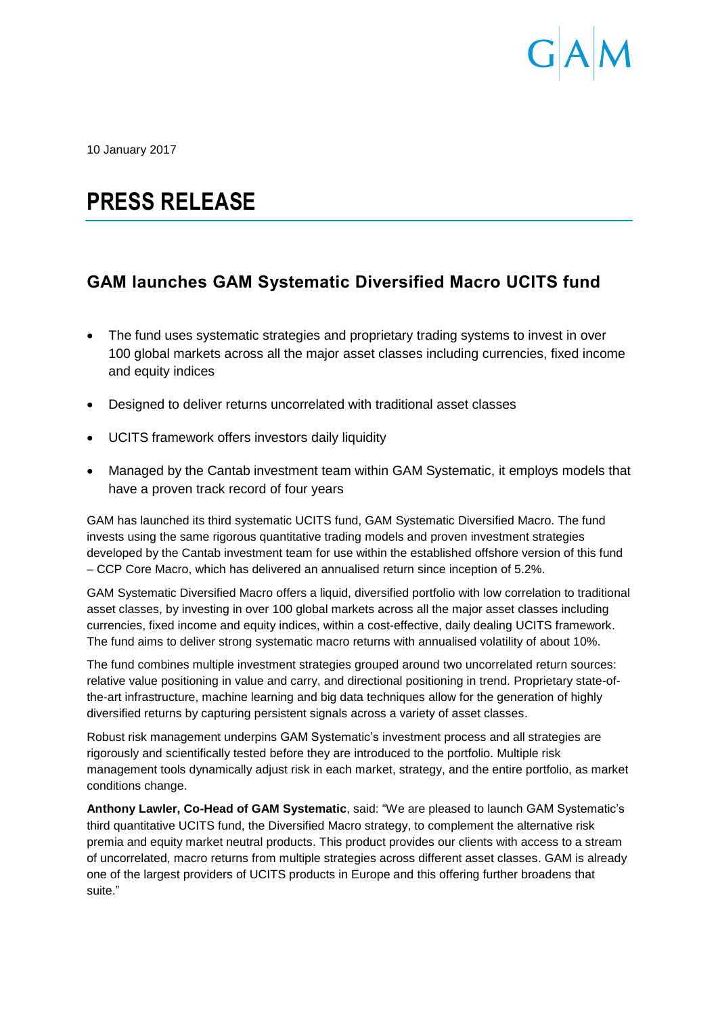

10 January 2017

# **PRESS RELEASE**

# **GAM launches GAM Systematic Diversified Macro UCITS fund**

- The fund uses systematic strategies and proprietary trading systems to invest in over 100 global markets across all the major asset classes including currencies, fixed income and equity indices
- Designed to deliver returns uncorrelated with traditional asset classes
- UCITS framework offers investors daily liquidity
- Managed by the Cantab investment team within GAM Systematic, it employs models that have a proven track record of four years

GAM has launched its third systematic UCITS fund, GAM Systematic Diversified Macro. The fund invests using the same rigorous quantitative trading models and proven investment strategies developed by the Cantab investment team for use within the established offshore version of this fund – CCP Core Macro, which has delivered an annualised return since inception of 5.2%.

GAM Systematic Diversified Macro offers a liquid, diversified portfolio with low correlation to traditional asset classes, by investing in over 100 global markets across all the major asset classes including currencies, fixed income and equity indices, within a cost-effective, daily dealing UCITS framework. The fund aims to deliver strong systematic macro returns with annualised volatility of about 10%.

The fund combines multiple investment strategies grouped around two uncorrelated return sources: relative value positioning in value and carry, and directional positioning in trend. Proprietary state-ofthe-art infrastructure, machine learning and big data techniques allow for the generation of highly diversified returns by capturing persistent signals across a variety of asset classes.

Robust risk management underpins GAM Systematic's investment process and all strategies are rigorously and scientifically tested before they are introduced to the portfolio. Multiple risk management tools dynamically adjust risk in each market, strategy, and the entire portfolio, as market conditions change.

**Anthony Lawler, Co-Head of GAM Systematic**, said: "We are pleased to launch GAM Systematic's third quantitative UCITS fund, the Diversified Macro strategy, to complement the alternative risk premia and equity market neutral products. This product provides our clients with access to a stream of uncorrelated, macro returns from multiple strategies across different asset classes. GAM is already one of the largest providers of UCITS products in Europe and this offering further broadens that suite."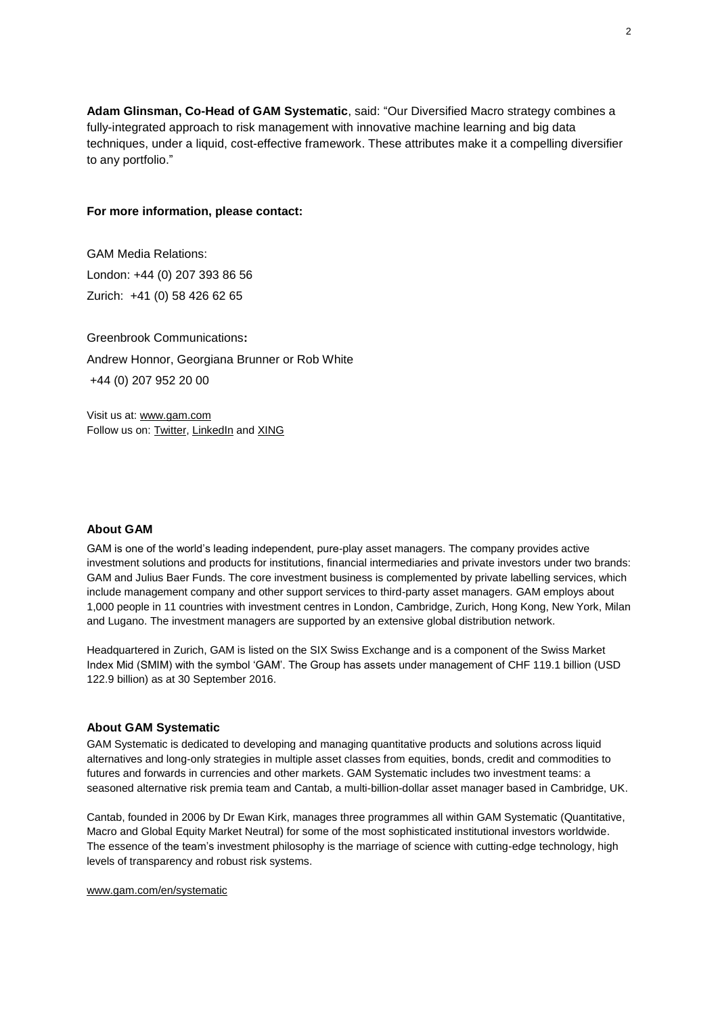**Adam Glinsman, Co-Head of GAM Systematic**, said: "Our Diversified Macro strategy combines a fully-integrated approach to risk management with innovative machine learning and big data techniques, under a liquid, cost-effective framework. These attributes make it a compelling diversifier to any portfolio."

# **For more information, please contact:**

GAM Media Relations: London: +44 (0) 207 393 86 56 Zurich: +41 (0) 58 426 62 65

Greenbrook Communications**:** Andrew Honnor, Georgiana Brunner or Rob White +44 (0) 207 952 20 00

Visit us at: [www.gam.com](http://www.gam.com/) Follow us on[: Twitter,](https://twitter.com/gaminsights) [LinkedIn](https://www.linkedin.com/company/gam?trk=company_logo) an[d XING](https://www.xing.com/companies/gam)

# **About GAM**

GAM is one of the world's leading independent, pure-play asset managers. The company provides active investment solutions and products for institutions, financial intermediaries and private investors under two brands: GAM and Julius Baer Funds. The core investment business is complemented by private labelling services, which include management company and other support services to third-party asset managers. GAM employs about 1,000 people in 11 countries with investment centres in London, Cambridge, Zurich, Hong Kong, New York, Milan and Lugano. The investment managers are supported by an extensive global distribution network.

Headquartered in Zurich, GAM is listed on the SIX Swiss Exchange and is a component of the Swiss Market Index Mid (SMIM) with the symbol 'GAM'. The Group has assets under management of CHF 119.1 billion (USD 122.9 billion) as at 30 September 2016.

# **About GAM Systematic**

GAM Systematic is dedicated to developing and managing quantitative products and solutions across liquid alternatives and long-only strategies in multiple asset classes from equities, bonds, credit and commodities to futures and forwards in currencies and other markets. GAM Systematic includes two investment teams: a seasoned alternative risk premia team and Cantab, a multi-billion-dollar asset manager based in Cambridge, UK.

Cantab, founded in 2006 by Dr Ewan Kirk, manages three programmes all within GAM Systematic (Quantitative, Macro and Global Equity Market Neutral) for some of the most sophisticated institutional investors worldwide. The essence of the team's investment philosophy is the marriage of science with cutting-edge technology, high levels of transparency and robust risk systems.

### [www.gam.com/en/systematic](http://www.gam.com/en/systematic)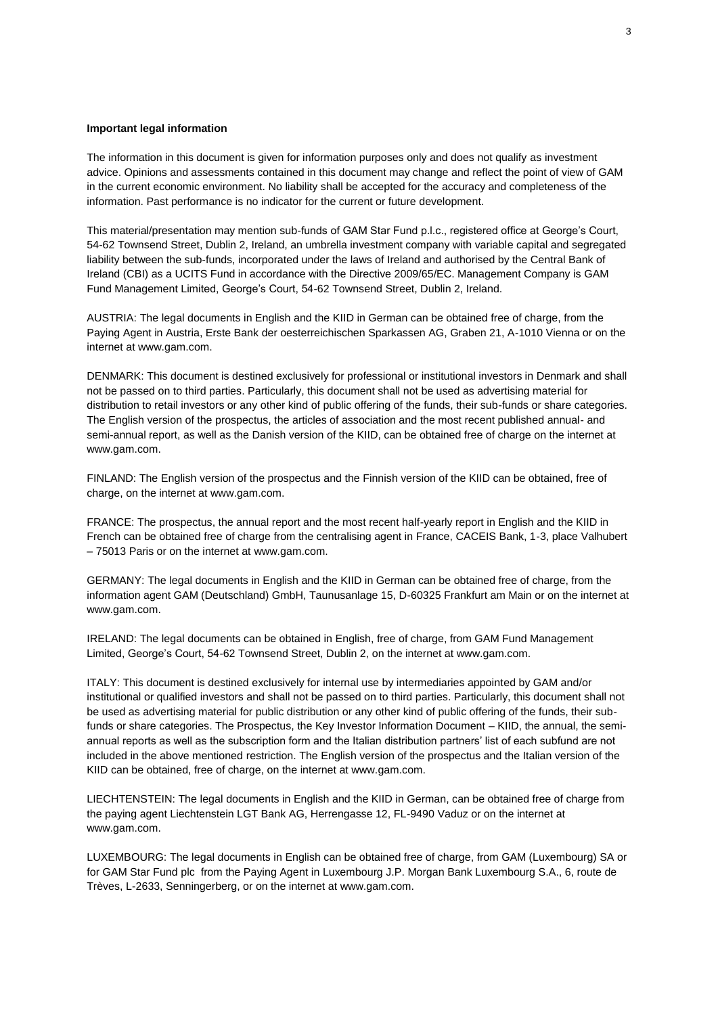### **Important legal information**

The information in this document is given for information purposes only and does not qualify as investment advice. Opinions and assessments contained in this document may change and reflect the point of view of GAM in the current economic environment. No liability shall be accepted for the accuracy and completeness of the information. Past performance is no indicator for the current or future development.

This material/presentation may mention sub-funds of GAM Star Fund p.l.c., registered office at George's Court, 54-62 Townsend Street, Dublin 2, Ireland, an umbrella investment company with variable capital and segregated liability between the sub-funds, incorporated under the laws of Ireland and authorised by the Central Bank of Ireland (CBI) as a UCITS Fund in accordance with the Directive 2009/65/EC. Management Company is GAM Fund Management Limited, George's Court, 54-62 Townsend Street, Dublin 2, Ireland.

AUSTRIA: The legal documents in English and the KIID in German can be obtained free of charge, from the Paying Agent in Austria, Erste Bank der oesterreichischen Sparkassen AG, Graben 21, A-1010 Vienna or on the internet at www.gam.com.

DENMARK: This document is destined exclusively for professional or institutional investors in Denmark and shall not be passed on to third parties. Particularly, this document shall not be used as advertising material for distribution to retail investors or any other kind of public offering of the funds, their sub-funds or share categories. The English version of the prospectus, the articles of association and the most recent published annual- and semi-annual report, as well as the Danish version of the KIID, can be obtained free of charge on the internet at www.gam.com.

FINLAND: The English version of the prospectus and the Finnish version of the KIID can be obtained, free of charge, on the internet at www.gam.com.

FRANCE: The prospectus, the annual report and the most recent half-yearly report in English and the KIID in French can be obtained free of charge from the centralising agent in France, CACEIS Bank, 1-3, place Valhubert – 75013 Paris or on the internet at www.gam.com.

GERMANY: The legal documents in English and the KIID in German can be obtained free of charge, from the information agent GAM (Deutschland) GmbH, Taunusanlage 15, D-60325 Frankfurt am Main or on the internet at www.gam.com.

IRELAND: The legal documents can be obtained in English, free of charge, from GAM Fund Management Limited, George's Court, 54-62 Townsend Street, Dublin 2, on the internet at www.gam.com.

ITALY: This document is destined exclusively for internal use by intermediaries appointed by GAM and/or institutional or qualified investors and shall not be passed on to third parties. Particularly, this document shall not be used as advertising material for public distribution or any other kind of public offering of the funds, their subfunds or share categories. The Prospectus, the Key Investor Information Document – KIID, the annual, the semiannual reports as well as the subscription form and the Italian distribution partners' list of each subfund are not included in the above mentioned restriction. The English version of the prospectus and the Italian version of the KIID can be obtained, free of charge, on the internet at www.gam.com.

LIECHTENSTEIN: The legal documents in English and the KIID in German, can be obtained free of charge from the paying agent Liechtenstein LGT Bank AG, Herrengasse 12, FL-9490 Vaduz or on the internet at www.gam.com.

LUXEMBOURG: The legal documents in English can be obtained free of charge, from GAM (Luxembourg) SA or for GAM Star Fund plc from the Paying Agent in Luxembourg J.P. Morgan Bank Luxembourg S.A., 6, route de Trèves, L-2633, Senningerberg, or on the internet at www.gam.com.